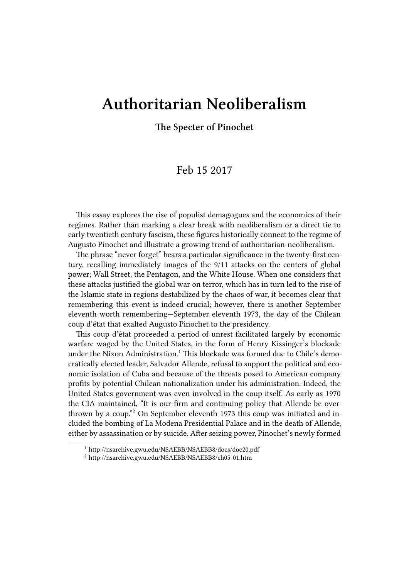## **Authoritarian Neoliberalism**

## **The Specter of Pinochet**

## Feb 15 2017

This essay explores the rise of populist demagogues and the economics of their regimes. Rather than marking a clear break with neoliberalism or a direct tie to early twentieth century fascism, these figures historically connect to the regime of Augusto Pinochet and illustrate a growing trend of authoritarian-neoliberalism.

The phrase "never forget" bears a particular significance in the twenty-first century, recalling immediately images of the 9/11 attacks on the centers of global power; Wall Street, the Pentagon, and the White House. When one considers that these attacks justified the global war on terror, which has in turn led to the rise of the Islamic state in regions destabilized by the chaos of war, it becomes clear that remembering this event is indeed crucial; however, there is another September eleventh worth remembering—September eleventh 1973, the day of the Chilean coup d'état that exalted Augusto Pinochet to the presidency.

This coup d'état proceeded a period of unrest facilitated largely by economic warfare waged by the United States, in the form of Henry Kissinger's blockade under the Nixon Administration.<sup>1</sup> This blockade was formed due to Chile's democratically elected leader, Salvador Allende, refusal to support the political and economic isolation of Cuba and because of the threats posed to American company profits by potential Chilean nationalization under his administration. Indeed, the United States government was even involved in the coup itself. As early as 1970 the CIA maintained, "It is our firm and continuing policy that Allende be overthrown by a coup."<sup>2</sup> On September eleventh 1973 this coup was initiated and included the bombing of La Modena Presidential Palace and in the death of Allende, either by assassination or by suicide. After seizing power, Pinochet's newly formed

<sup>1</sup> http://nsarchive.gwu.edu/NSAEBB/NSAEBB8/docs/doc20.pdf

<sup>2</sup> http://nsarchive.gwu.edu/NSAEBB/NSAEBB8/ch05-01.htm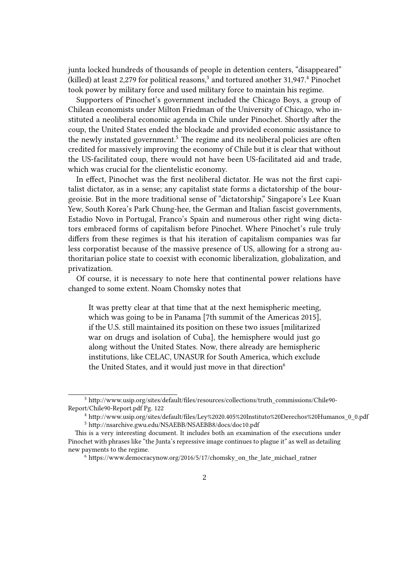junta locked hundreds of thousands of people in detention centers, "disappeared" (killed) at least 2,279 for political reasons, $3$  and tortured another 31,947. $4$  Pinochet took power by military force and used military force to maintain his regime.

Supporters of Pinochet's government included the Chicago Boys, a group of Chilean economists under Milton Friedman of the University of Chicago, who instituted a neoliberal economic agenda in Chile under Pinochet. Shortly after the coup, the United States ended the blockade and provided economic assistance to the newly instated government.<sup>5</sup> The regime and its neoliberal policies are often credited for massively improving the economy of Chile but it is clear that without the US-facilitated coup, there would not have been US-facilitated aid and trade, which was crucial for the clientelistic economy.

In effect, Pinochet was the first neoliberal dictator. He was not the first capitalist dictator, as in a sense; any capitalist state forms a dictatorship of the bourgeoisie. But in the more traditional sense of "dictatorship," Singapore's Lee Kuan Yew, South Korea's Park Chung-hee, the German and Italian fascist governments, Estadio Novo in Portugal, Franco's Spain and numerous other right wing dictators embraced forms of capitalism before Pinochet. Where Pinochet's rule truly differs from these regimes is that his iteration of capitalism companies was far less corporatist because of the massive presence of US, allowing for a strong authoritarian police state to coexist with economic liberalization, globalization, and privatization.

Of course, it is necessary to note here that continental power relations have changed to some extent. Noam Chomsky notes that

It was pretty clear at that time that at the next hemispheric meeting, which was going to be in Panama [7th summit of the Americas 2015], if the U.S. still maintained its position on these two issues [militarized war on drugs and isolation of Cuba], the hemisphere would just go along without the United States. Now, there already are hemispheric institutions, like CELAC, UNASUR for South America, which exclude the United States, and it would just move in that direction<sup>6</sup>

<sup>3</sup> http://www.usip.org/sites/default/files/resources/collections/truth\_commissions/Chile90- Report/Chile90-Report.pdf Pg. 122

<sup>4</sup> http://www.usip.org/sites/default/files/Ley%2020.405%20Instituto%20Derechos%20Humanos\_0\_0.pdf <sup>5</sup> http://nsarchive.gwu.edu/NSAEBB/NSAEBB8/docs/doc10.pdf

This is a very interesting document. It includes both an examination of the executions under Pinochet with phrases like "the Junta's repressive image continues to plague it" as well as detailing new payments to the regime.

 $6$  https://www.democracynow.org/2016/5/17/chomsky\_on\_the\_late\_michael\_ratner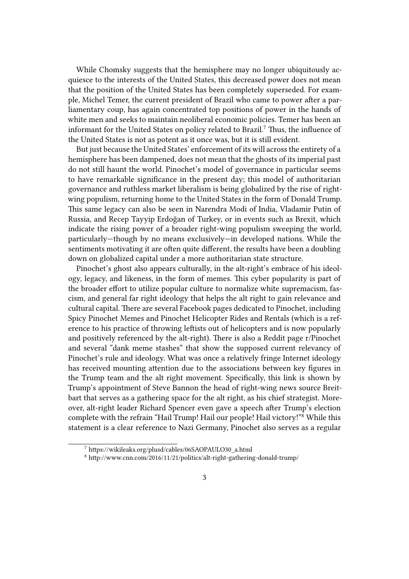While Chomsky suggests that the hemisphere may no longer ubiquitously acquiesce to the interests of the United States, this decreased power does not mean that the position of the United States has been completely superseded. For example, Michel Temer, the current president of Brazil who came to power after a parliamentary coup, has again concentrated top positions of power in the hands of white men and seeks to maintain neoliberal economic policies. Temer has been an informant for the United States on policy related to Brazil.<sup>7</sup> Thus, the influence of the United States is not as potent as it once was, but it is still evident.

But just because the United States' enforcement of its will across the entirety of a hemisphere has been dampened, does not mean that the ghosts of its imperial past do not still haunt the world. Pinochet's model of governance in particular seems to have remarkable significance in the present day; this model of authoritarian governance and ruthless market liberalism is being globalized by the rise of rightwing populism, returning home to the United States in the form of Donald Trump. This same legacy can also be seen in Narendra Modi of India, Vladamir Putin of Russia, and Recep Tayyip Erdoğan of Turkey, or in events such as Brexit, which indicate the rising power of a broader right-wing populism sweeping the world, particularly—though by no means exclusively—in developed nations. While the sentiments motivating it are often quite different, the results have been a doubling down on globalized capital under a more authoritarian state structure.

Pinochet's ghost also appears culturally, in the alt-right's embrace of his ideology, legacy, and likeness, in the form of memes. This cyber popularity is part of the broader effort to utilize popular culture to normalize white supremacism, fascism, and general far right ideology that helps the alt right to gain relevance and cultural capital. There are several Facebook pages dedicated to Pinochet, including Spicy Pinochet Memes and Pinochet Helicopter Rides and Rentals (which is a reference to his practice of throwing leftists out of helicopters and is now popularly and positively referenced by the alt-right). There is also a Reddit page r/Pinochet and several "dank meme stashes" that show the supposed current relevancy of Pinochet's rule and ideology. What was once a relatively fringe Internet ideology has received mounting attention due to the associations between key figures in the Trump team and the alt right movement. Specifically, this link is shown by Trump's appointment of Steve Bannon the head of right-wing news source Breitbart that serves as a gathering space for the alt right, as his chief strategist. Moreover, alt-right leader Richard Spencer even gave a speech after Trump's election complete with the refrain "Hail Trump! Hail our people! Hail victory!"<sup>8</sup> While this statement is a clear reference to Nazi Germany, Pinochet also serves as a regular

<sup>7</sup> https://wikileaks.org/plusd/cables/06SAOPAULO30\_a.html

<sup>8</sup> http://www.cnn.com/2016/11/21/politics/alt-right-gathering-donald-trump/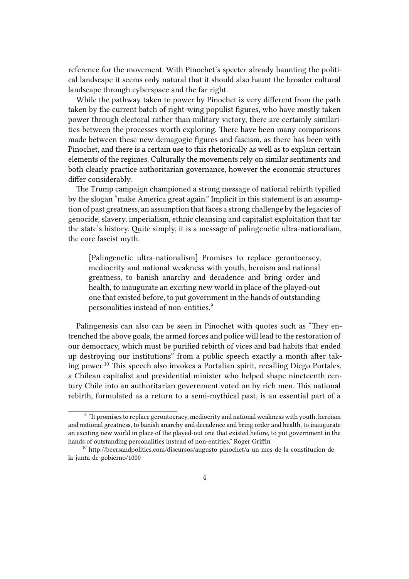reference for the movement. With Pinochet's specter already haunting the political landscape it seems only natural that it should also haunt the broader cultural landscape through cyberspace and the far right.

While the pathway taken to power by Pinochet is very different from the path taken by the current batch of right-wing populist figures, who have mostly taken power through electoral rather than military victory, there are certainly similarities between the processes worth exploring. There have been many comparisons made between these new demagogic figures and fascism, as there has been with Pinochet, and there is a certain use to this rhetorically as well as to explain certain elements of the regimes. Culturally the movements rely on similar sentiments and both clearly practice authoritarian governance, however the economic structures differ considerably.

The Trump campaign championed a strong message of national rebirth typified by the slogan "make America great again." Implicit in this statement is an assumption of past greatness, an assumption that faces a strong challenge by the legacies of genocide, slavery, imperialism, ethnic cleansing and capitalist exploitation that tar the state's history. Quite simply, it is a message of palingenetic ultra-nationalism, the core fascist myth.

[Palingenetic ultra-nationalism] Promises to replace gerontocracy, mediocrity and national weakness with youth, heroism and national greatness, to banish anarchy and decadence and bring order and health, to inaugurate an exciting new world in place of the played-out one that existed before, to put government in the hands of outstanding personalities instead of non-entities.<sup>9</sup>

Palingenesis can also can be seen in Pinochet with quotes such as "They entrenched the above goals, the armed forces and police will lead to the restoration of our democracy, which must be purified rebirth of vices and bad habits that ended up destroying our institutions" from a public speech exactly a month after taking power.<sup>10</sup> This speech also invokes a Portalian spirit, recalling Diego Portales, a Chilean capitalist and presidential minister who helped shape nineteenth century Chile into an authoritarian government voted on by rich men. This national rebirth, formulated as a return to a semi-mythical past, is an essential part of a

<sup>&</sup>lt;sup>9</sup> "It promises to replace gerontocracy, mediocrity and national weakness with youth, heroism and national greatness, to banish anarchy and decadence and bring order and health, to inaugurate an exciting new world in place of the played-out one that existed before, to put government in the hands of outstanding personalities instead of non-entities." Roger Griffin

<sup>10</sup> http://beersandpolitics.com/discursos/augusto-pinochet/a-un-mes-de-la-constitucion-dela-junta-de-gobierno/1000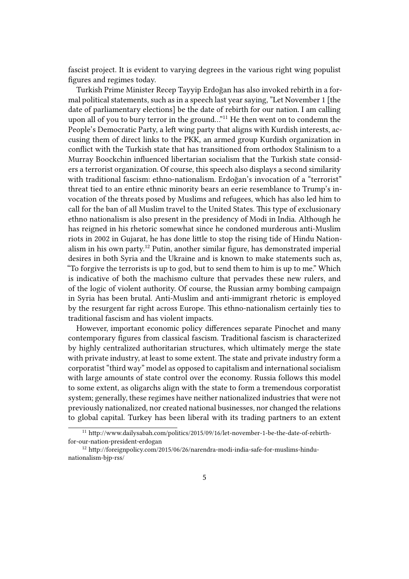fascist project. It is evident to varying degrees in the various right wing populist figures and regimes today.

Turkish Prime Minister Recep Tayyip Erdoğan has also invoked rebirth in a formal political statements, such as in a speech last year saying, "Let November 1 [the date of parliamentary elections] be the date of rebirth for our nation. I am calling upon all of you to bury terror in the ground..."<sup>11</sup> He then went on to condemn the People's Democratic Party, a left wing party that aligns with Kurdish interests, accusing them of direct links to the PKK, an armed group Kurdish organization in conflict with the Turkish state that has transitioned from orthodox Stalinism to a Murray Boockchin influenced libertarian socialism that the Turkish state considers a terrorist organization. Of course, this speech also displays a second similarity with traditional fascism: ethno-nationalism. Erdoğan's invocation of a "terrorist" threat tied to an entire ethnic minority bears an eerie resemblance to Trump's invocation of the threats posed by Muslims and refugees, which has also led him to call for the ban of all Muslim travel to the United States. This type of exclusionary ethno nationalism is also present in the presidency of Modi in India. Although he has reigned in his rhetoric somewhat since he condoned murderous anti-Muslim riots in 2002 in Gujarat, he has done little to stop the rising tide of Hindu Nationalism in his own party.<sup>12</sup> Putin, another similar figure, has demonstrated imperial desires in both Syria and the Ukraine and is known to make statements such as, "To forgive the terrorists is up to god, but to send them to him is up to me." Which is indicative of both the machismo culture that pervades these new rulers, and of the logic of violent authority. Of course, the Russian army bombing campaign in Syria has been brutal. Anti-Muslim and anti-immigrant rhetoric is employed by the resurgent far right across Europe. This ethno-nationalism certainly ties to traditional fascism and has violent impacts.

However, important economic policy differences separate Pinochet and many contemporary figures from classical fascism. Traditional fascism is characterized by highly centralized authoritarian structures, which ultimately merge the state with private industry, at least to some extent. The state and private industry form a corporatist "third way" model as opposed to capitalism and international socialism with large amounts of state control over the economy. Russia follows this model to some extent, as oligarchs align with the state to form a tremendous corporatist system; generally, these regimes have neither nationalized industries that were not previously nationalized, nor created national businesses, nor changed the relations to global capital. Turkey has been liberal with its trading partners to an extent

<sup>11</sup> http://www.dailysabah.com/politics/2015/09/16/let-november-1-be-the-date-of-rebirthfor-our-nation-president-erdogan

<sup>12</sup> http://foreignpolicy.com/2015/06/26/narendra-modi-india-safe-for-muslims-hindunationalism-bjp-rss/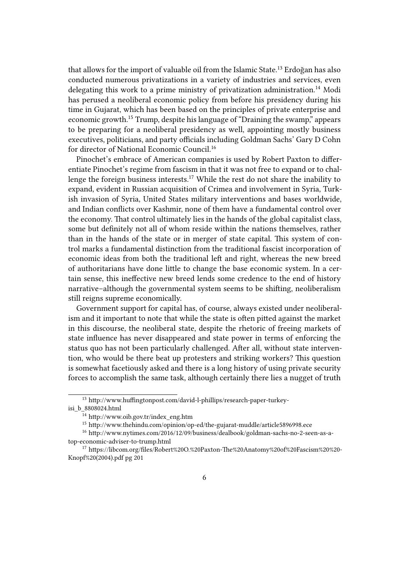that allows for the import of valuable oil from the Islamic State.<sup>13</sup> Erdoğan has also conducted numerous privatizations in a variety of industries and services, even delegating this work to a prime ministry of privatization administration.<sup>14</sup> Modi has perused a neoliberal economic policy from before his presidency during his time in Gujarat, which has been based on the principles of private enterprise and economic growth.<sup>15</sup> Trump, despite his language of "Draining the swamp," appears to be preparing for a neoliberal presidency as well, appointing mostly business executives, politicians, and party officials including Goldman Sachs' Gary D Cohn for director of National Economic Council.<sup>16</sup>

Pinochet's embrace of American companies is used by Robert Paxton to differentiate Pinochet's regime from fascism in that it was not free to expand or to challenge the foreign business interests.<sup>17</sup> While the rest do not share the inability to expand, evident in Russian acquisition of Crimea and involvement in Syria, Turkish invasion of Syria, United States military interventions and bases worldwide, and Indian conflicts over Kashmir, none of them have a fundamental control over the economy. That control ultimately lies in the hands of the global capitalist class, some but definitely not all of whom reside within the nations themselves, rather than in the hands of the state or in merger of state capital. This system of control marks a fundamental distinction from the traditional fascist incorporation of economic ideas from both the traditional left and right, whereas the new breed of authoritarians have done little to change the base economic system. In a certain sense, this ineffective new breed lends some credence to the end of history narrative–although the governmental system seems to be shifting, neoliberalism still reigns supreme economically.

Government support for capital has, of course, always existed under neoliberalism and it important to note that while the state is often pitted against the market in this discourse, the neoliberal state, despite the rhetoric of freeing markets of state influence has never disappeared and state power in terms of enforcing the status quo has not been particularly challenged. After all, without state intervention, who would be there beat up protesters and striking workers? This question is somewhat facetiously asked and there is a long history of using private security forces to accomplish the same task, although certainly there lies a nugget of truth

<sup>13</sup> http://www.huffingtonpost.com/david-l-phillips/research-paper-turkeyisi\_b\_8808024.html

<sup>14</sup> http://www.oib.gov.tr/index\_eng.htm

<sup>15</sup> http://www.thehindu.com/opinion/op-ed/the-gujarat-muddle/article5896998.ece

<sup>16</sup> http://www.nytimes.com/2016/12/09/business/dealbook/goldman-sachs-no-2-seen-as-atop-economic-adviser-to-trump.html

<sup>17</sup> https://libcom.org/files/Robert%20O.%20Paxton-The%20Anatomy%20of%20Fascism%20%20- Knopf%20(2004).pdf pg 201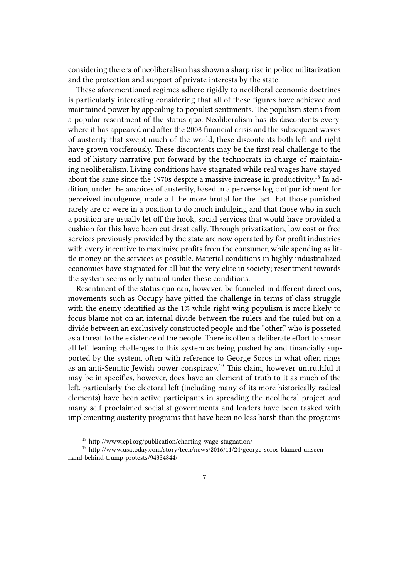considering the era of neoliberalism has shown a sharp rise in police militarization and the protection and support of private interests by the state.

These aforementioned regimes adhere rigidly to neoliberal economic doctrines is particularly interesting considering that all of these figures have achieved and maintained power by appealing to populist sentiments. The populism stems from a popular resentment of the status quo. Neoliberalism has its discontents everywhere it has appeared and after the 2008 financial crisis and the subsequent waves of austerity that swept much of the world, these discontents both left and right have grown vociferously. These discontents may be the first real challenge to the end of history narrative put forward by the technocrats in charge of maintaining neoliberalism. Living conditions have stagnated while real wages have stayed about the same since the 1970s despite a massive increase in productivity.<sup>18</sup> In addition, under the auspices of austerity, based in a perverse logic of punishment for perceived indulgence, made all the more brutal for the fact that those punished rarely are or were in a position to do much indulging and that those who in such a position are usually let off the hook, social services that would have provided a cushion for this have been cut drastically. Through privatization, low cost or free services previously provided by the state are now operated by for profit industries with every incentive to maximize profits from the consumer, while spending as little money on the services as possible. Material conditions in highly industrialized economies have stagnated for all but the very elite in society; resentment towards the system seems only natural under these conditions.

Resentment of the status quo can, however, be funneled in different directions, movements such as Occupy have pitted the challenge in terms of class struggle with the enemy identified as the 1% while right wing populism is more likely to focus blame not on an internal divide between the rulers and the ruled but on a divide between an exclusively constructed people and the "other," who is posseted as a threat to the existence of the people. There is often a deliberate effort to smear all left leaning challenges to this system as being pushed by and financially supported by the system, often with reference to George Soros in what often rings as an anti-Semitic Jewish power conspiracy.<sup>19</sup> This claim, however untruthful it may be in specifics, however, does have an element of truth to it as much of the left, particularly the electoral left (including many of its more historically radical elements) have been active participants in spreading the neoliberal project and many self proclaimed socialist governments and leaders have been tasked with implementing austerity programs that have been no less harsh than the programs

<sup>18</sup> http://www.epi.org/publication/charting-wage-stagnation/

<sup>19</sup> http://www.usatoday.com/story/tech/news/2016/11/24/george-soros-blamed-unseenhand-behind-trump-protests/94334844/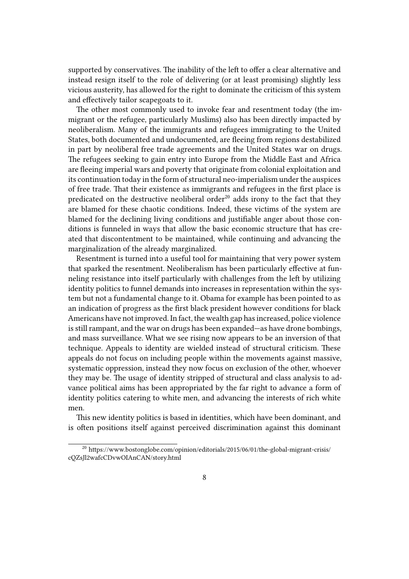supported by conservatives. The inability of the left to offer a clear alternative and instead resign itself to the role of delivering (or at least promising) slightly less vicious austerity, has allowed for the right to dominate the criticism of this system and effectively tailor scapegoats to it.

The other most commonly used to invoke fear and resentment today (the immigrant or the refugee, particularly Muslims) also has been directly impacted by neoliberalism. Many of the immigrants and refugees immigrating to the United States, both documented and undocumented, are fleeing from regions destabilized in part by neoliberal free trade agreements and the United States war on drugs. The refugees seeking to gain entry into Europe from the Middle East and Africa are fleeing imperial wars and poverty that originate from colonial exploitation and its continuation today in the form of structural neo-imperialism under the auspices of free trade. That their existence as immigrants and refugees in the first place is predicated on the destructive neoliberal order $^{20}$  adds irony to the fact that they are blamed for these chaotic conditions. Indeed, these victims of the system are blamed for the declining living conditions and justifiable anger about those conditions is funneled in ways that allow the basic economic structure that has created that discontentment to be maintained, while continuing and advancing the marginalization of the already marginalized.

Resentment is turned into a useful tool for maintaining that very power system that sparked the resentment. Neoliberalism has been particularly effective at funneling resistance into itself particularly with challenges from the left by utilizing identity politics to funnel demands into increases in representation within the system but not a fundamental change to it. Obama for example has been pointed to as an indication of progress as the first black president however conditions for black Americans have not improved. In fact, the wealth gap has increased, police violence is still rampant, and the war on drugs has been expanded—as have drone bombings, and mass surveillance. What we see rising now appears to be an inversion of that technique. Appeals to identity are wielded instead of structural criticism. These appeals do not focus on including people within the movements against massive, systematic oppression, instead they now focus on exclusion of the other, whoever they may be. The usage of identity stripped of structural and class analysis to advance political aims has been appropriated by the far right to advance a form of identity politics catering to white men, and advancing the interests of rich white men.

This new identity politics is based in identities, which have been dominant, and is often positions itself against perceived discrimination against this dominant

<sup>&</sup>lt;sup>20</sup> https://www.bostonglobe.com/opinion/editorials/2015/06/01/the-global-migrant-crisis/ cQZsJl2wafcCDvwOIAnCAN/story.html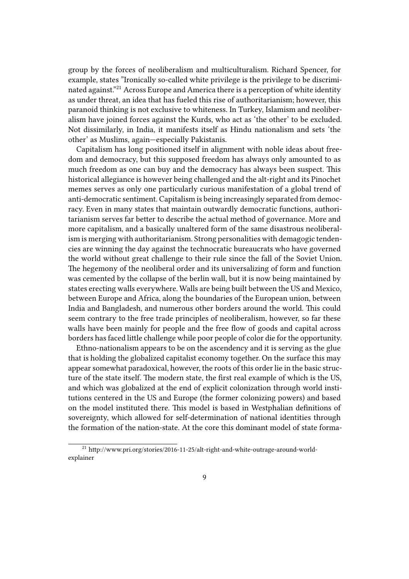group by the forces of neoliberalism and multiculturalism. Richard Spencer, for example, states "Ironically so-called white privilege is the privilege to be discriminated against."<sup>21</sup> Across Europe and America there is a perception of white identity as under threat, an idea that has fueled this rise of authoritarianism; however, this paranoid thinking is not exclusive to whiteness. In Turkey, Islamism and neoliberalism have joined forces against the Kurds, who act as 'the other' to be excluded. Not dissimilarly, in India, it manifests itself as Hindu nationalism and sets 'the other' as Muslims, again—especially Pakistanis.

Capitalism has long positioned itself in alignment with noble ideas about freedom and democracy, but this supposed freedom has always only amounted to as much freedom as one can buy and the democracy has always been suspect. This historical allegiance is however being challenged and the alt-right and its Pinochet memes serves as only one particularly curious manifestation of a global trend of anti-democratic sentiment. Capitalism is being increasingly separated from democracy. Even in many states that maintain outwardly democratic functions, authoritarianism serves far better to describe the actual method of governance. More and more capitalism, and a basically unaltered form of the same disastrous neoliberalism is merging with authoritarianism. Strong personalities with demagogic tendencies are winning the day against the technocratic bureaucrats who have governed the world without great challenge to their rule since the fall of the Soviet Union. The hegemony of the neoliberal order and its universalizing of form and function was cemented by the collapse of the berlin wall, but it is now being maintained by states erecting walls everywhere. Walls are being built between the US and Mexico, between Europe and Africa, along the boundaries of the European union, between India and Bangladesh, and numerous other borders around the world. This could seem contrary to the free trade principles of neoliberalism, however, so far these walls have been mainly for people and the free flow of goods and capital across borders has faced little challenge while poor people of color die for the opportunity.

Ethno-nationalism appears to be on the ascendency and it is serving as the glue that is holding the globalized capitalist economy together. On the surface this may appear somewhat paradoxical, however, the roots of this order lie in the basic structure of the state itself. The modern state, the first real example of which is the US, and which was globalized at the end of explicit colonization through world institutions centered in the US and Europe (the former colonizing powers) and based on the model instituted there. This model is based in Westphalian definitions of sovereignty, which allowed for self-determination of national identities through the formation of the nation-state. At the core this dominant model of state forma-

<sup>21</sup> http://www.pri.org/stories/2016-11-25/alt-right-and-white-outrage-around-worldexplainer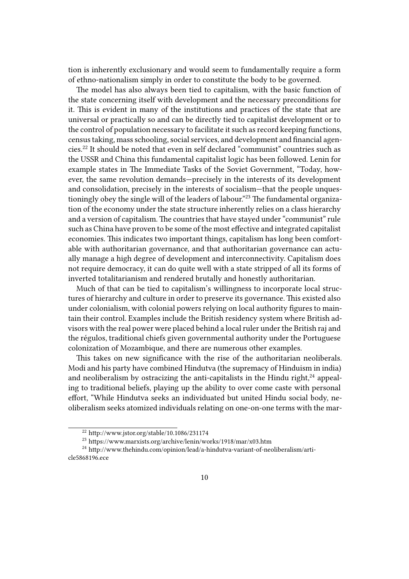tion is inherently exclusionary and would seem to fundamentally require a form of ethno-nationalism simply in order to constitute the body to be governed.

The model has also always been tied to capitalism, with the basic function of the state concerning itself with development and the necessary preconditions for it. This is evident in many of the institutions and practices of the state that are universal or practically so and can be directly tied to capitalist development or to the control of population necessary to facilitate it such as record keeping functions, census taking, mass schooling, social services, and development and financial agencies.<sup>22</sup> It should be noted that even in self declared "communist" countries such as the USSR and China this fundamental capitalist logic has been followed. Lenin for example states in The Immediate Tasks of the Soviet Government, "Today, however, the same revolution demands—precisely in the interests of its development and consolidation, precisely in the interests of socialism—that the people unquestioningly obey the single will of the leaders of labour."<sup>23</sup> The fundamental organization of the economy under the state structure inherently relies on a class hierarchy and a version of capitalism. The countries that have stayed under "communist" rule such as China have proven to be some of the most effective and integrated capitalist economies. This indicates two important things, capitalism has long been comfortable with authoritarian governance, and that authoritarian governance can actually manage a high degree of development and interconnectivity. Capitalism does not require democracy, it can do quite well with a state stripped of all its forms of inverted totalitarianism and rendered brutally and honestly authoritarian.

Much of that can be tied to capitalism's willingness to incorporate local structures of hierarchy and culture in order to preserve its governance. This existed also under colonialism, with colonial powers relying on local authority figures to maintain their control. Examples include the British residency system where British advisors with the real power were placed behind a local ruler under the British raj and the régulos, traditional chiefs given governmental authority under the Portuguese colonization of Mozambique, and there are numerous other examples.

This takes on new significance with the rise of the authoritarian neoliberals. Modi and his party have combined Hindutva (the supremacy of Hinduism in india) and neoliberalism by ostracizing the anti-capitalists in the Hindu right, $^{24}$  appealing to traditional beliefs, playing up the ability to over come caste with personal effort, "While Hindutva seeks an individuated but united Hindu social body, neoliberalism seeks atomized individuals relating on one-on-one terms with the mar-

<sup>22</sup> http://www.jstor.org/stable/10.1086/231174

<sup>23</sup> https://www.marxists.org/archive/lenin/works/1918/mar/x03.htm

<sup>24</sup> http://www.thehindu.com/opinion/lead/a-hindutva-variant-of-neoliberalism/article5868196.ece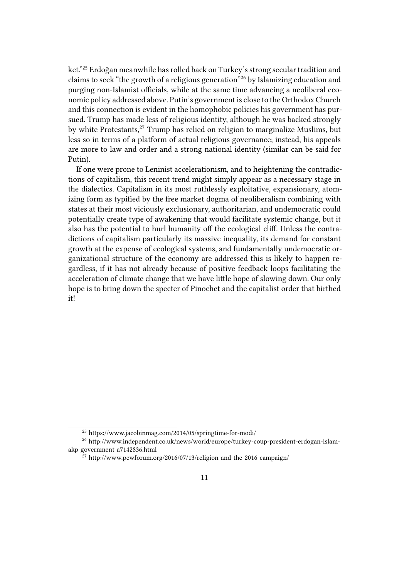ket."<sup>25</sup> Erdoğan meanwhile has rolled back on Turkey's strong secular tradition and claims to seek "the growth of a religious generation"<sup>26</sup> by Islamizing education and purging non-Islamist officials, while at the same time advancing a neoliberal economic policy addressed above. Putin's government is close to the Orthodox Church and this connection is evident in the homophobic policies his government has pursued. Trump has made less of religious identity, although he was backed strongly by white Protestants,<sup>27</sup> Trump has relied on religion to marginalize Muslims, but less so in terms of a platform of actual religious governance; instead, his appeals are more to law and order and a strong national identity (similar can be said for Putin).

If one were prone to Leninist accelerationism, and to heightening the contradictions of capitalism, this recent trend might simply appear as a necessary stage in the dialectics. Capitalism in its most ruthlessly exploitative, expansionary, atomizing form as typified by the free market dogma of neoliberalism combining with states at their most viciously exclusionary, authoritarian, and undemocratic could potentially create type of awakening that would facilitate systemic change, but it also has the potential to hurl humanity off the ecological cliff. Unless the contradictions of capitalism particularly its massive inequality, its demand for constant growth at the expense of ecological systems, and fundamentally undemocratic organizational structure of the economy are addressed this is likely to happen regardless, if it has not already because of positive feedback loops facilitating the acceleration of climate change that we have little hope of slowing down. Our only hope is to bring down the specter of Pinochet and the capitalist order that birthed it!

<sup>25</sup> https://www.jacobinmag.com/2014/05/springtime-for-modi/

<sup>26</sup> http://www.independent.co.uk/news/world/europe/turkey-coup-president-erdogan-islamakp-government-a7142836.html

 $^{27}$  http://www.pewforum.org/2016/07/13/religion-and-the-2016-campaign/